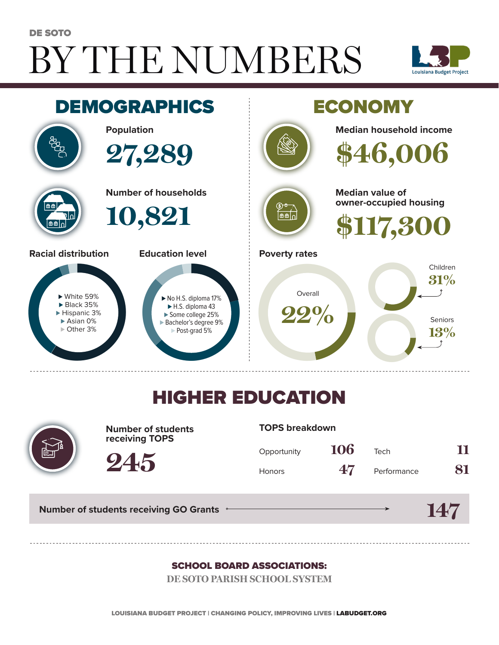# BY THE NUMBERS DE SOTO





## HIGHER EDUCATION



**Number of students receiving TOPS**

#### **TOPS breakdown**

| Opportunity   | 106 | Tech        | 11 |
|---------------|-----|-------------|----|
| <b>Honors</b> | 47  | Performance | 81 |

**Number of students receiving GO Grants**

**245**

#### **147**

#### SCHOOL BOARD ASSOCIATIONS:

**DE SOTO PARISH SCHOOL SYSTEM**